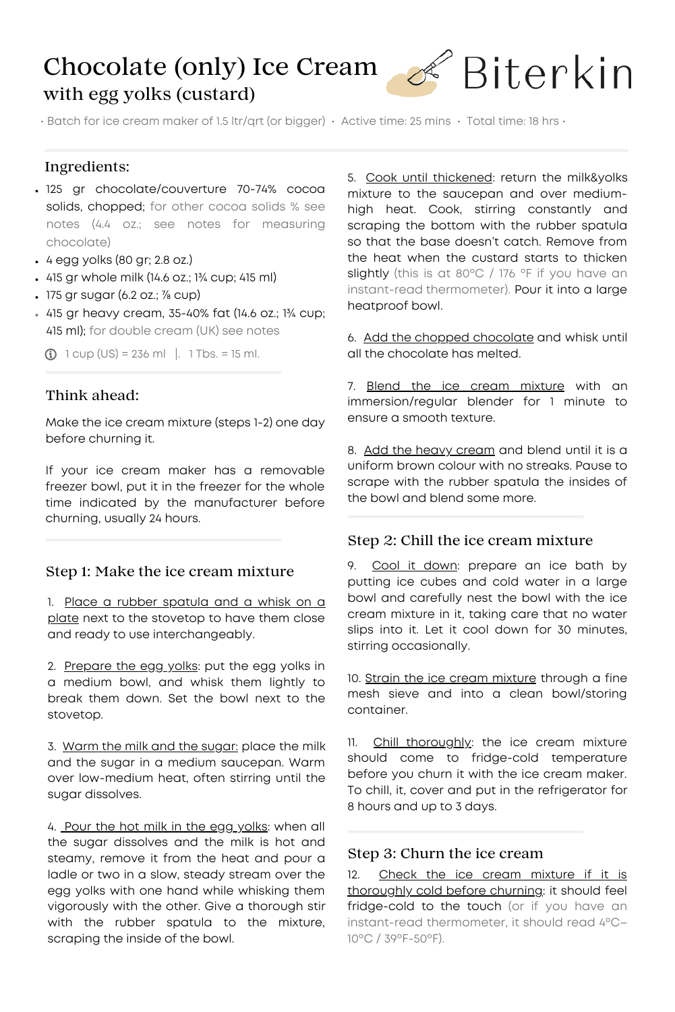# Chocolate (only) Ice Cream with egg yolks (custard)



• Batch for ice cream maker of 1.5 ltr/qrt (or bigger) • Active time: 25 mins • Total time: 18 hrs •

### Ingredients:

- 125 gr chocolate/couverture 70-74% cocoa solids, chopped; for other cocoa solids % see notes (4.4 oz.; see notes for measuring chocolate)
- 4 egg yolks (80 gr; 2.8 oz.)
- 415 gr whole milk (14.6 oz.; 1¾ cup; 415 ml)
- $\cdot$  175 gr sugar (6.2 oz.;  $\frac{7}{8}$  cup)
- 415 gr heavy cream, 35-40% fat (14.6 oz.; 1¾ cup; 415 ml); for double cream (UK) see notes

 $\odot$  1 cup (US) = 236 ml |. 1 Tbs. = 15 ml.

## Think ahead:

Make the ice cream mixture (steps 1-2) one day before churning it.

If your ice cream maker has a removable freezer bowl, put it in the freezer for the whole time indicated by the manufacturer before churning, usually 24 hours.

# Step 1: Make the ice cream mixture

1. Place a rubber spatula and a whisk on a plate next to the stovetop to have them close and ready to use interchangeably.

2. Prepare the egg yolks: put the egg yolks in a medium bowl, and whisk them lightly to break them down. Set the bowl next to the stovetop.

3. Warm the milk and the sugar: place the milk and the sugar in a medium saucepan. Warm over low-medium heat, often stirring until the sugar dissolves.

4. Pour the hot milk in the egg yolks: when all the sugar dissolves and the milk is hot and steamy, remove it from the heat and pour a ladle or two in a slow, steady stream over the egg yolks with one hand while whisking them vigorously with the other. Give a thorough stir with the rubber spatula to the mixture, scraping the inside of the bowl.

5. Cook until thickened: return the milk&yolks mixture to the saucepan and over mediumhigh heat. Cook, stirring constantly and scraping the bottom with the rubber spatula so that the base doesn't catch. Remove from the heat when the custard starts to thicken slightly (this is at 80°C / 176 °F if you have an instant-read thermometer). Pour it into a large heatproof bowl.

6. Add the chopped chocolate and whisk until all the chocolate has melted.

7. Blend the ice cream mixture with an immersion/regular blender for 1 minute to ensure a smooth texture.

8. Add the heavy cream and blend until it is a uniform brown colour with no streaks. Pause to scrape with the rubber spatula the insides of the bowl and blend some more.

# Step 2: Chill the ice cream mixture

9. Cool it down: prepare an ice bath by putting ice cubes and cold water in a large bowl and carefully nest the bowl with the ice cream mixture in it, taking care that no water slips into it. Let it cool down for 30 minutes, stirring occasionally.

10. Strain the ice cream mixture through a fine mesh sieve and into a clean bowl/storing container.

11. Chill thoroughly: the ice cream mixture should come to fridge-cold temperature before you churn it with the ice cream maker. To chill, it, cover and put in the refrigerator for 8 hours and up to 3 days.

#### Step 3: Churn the ice cream

12. Check the ice cream mixture if it is thoroughly cold before churning: it should feel fridge-cold to the touch (or if you have an instant-read thermometer, it should read 4ºC– 10ºC / 39ºF-50ºF).